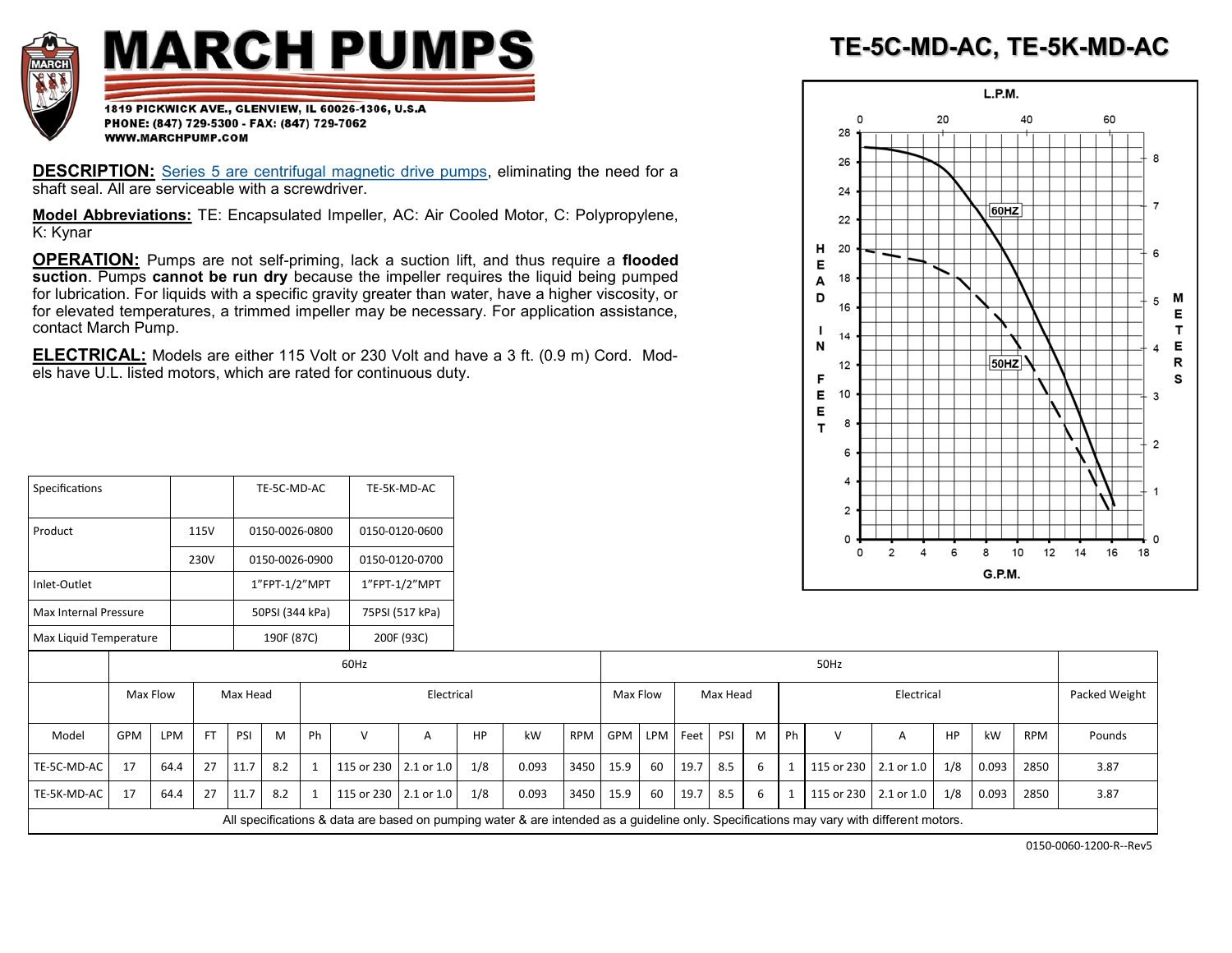

## **MARCH PUMPS**

1819 PICKWICK AVE., GLENVIEW, IL 60026-1306, U.S.A PHONE: (847) 729-5300 - FAX: (847) 729-7062 WWW.MARCHPUMP.COM

Specifications TE-5C-MD-AC TE-5K-MD-AC

**DESCRIPTION:** [Series 5 are centrifugal magnetic drive pumps,](http://www.marchpump.com/series-5) eliminating the need for a shaft seal. All are serviceable with a screwdriver.

**Model Abbreviations:** TE: Encapsulated Impeller, AC: Air Cooled Motor, C: Polypropylene, K: Kynar

**OPERATION:** Pumps are not self-priming, lack a suction lift, and thus require a **flooded suction**. Pumps **cannot be run dry** because the impeller requires the liquid being pumped for lubrication. For liquids with a specific gravity greater than water, have a higher viscosity, or for elevated temperatures, a trimmed impeller may be necessary. For application assistance, contact March Pump.

**ELECTRICAL:** Models are either 115 Volt or 230 Volt and have a 3 ft. (0.9 m) Cord. Models have U.L. listed motors, which are rated for continuous duty.

| TE-5C-MD-AC, TE-5K-MD-AC |  |  |
|--------------------------|--|--|
|                          |  |  |



| Product                |     |      | 115V      |          | 0150-0026-0800  |    |                                                                                                                                         | 0150-0120-0600  |           |       |      |           |          |      |          |   |      |                         |            |           |        |            |    |               |  |
|------------------------|-----|------|-----------|----------|-----------------|----|-----------------------------------------------------------------------------------------------------------------------------------------|-----------------|-----------|-------|------|-----------|----------|------|----------|---|------|-------------------------|------------|-----------|--------|------------|----|---------------|--|
|                        |     |      | 230V      |          | 0150-0026-0900  |    |                                                                                                                                         | 0150-0120-0700  |           |       |      |           |          |      |          |   |      | 0                       |            |           |        | 10<br>12   | 14 | 16            |  |
| Inlet-Outlet           |     |      |           |          | 1"FPT-1/2"MPT   |    |                                                                                                                                         | 1"FPT-1/2"MPT   |           |       |      |           |          |      |          |   |      |                         |            |           | G.P.M. |            |    |               |  |
| Max Internal Pressure  |     |      |           |          | 50PSI (344 kPa) |    |                                                                                                                                         | 75PSI (517 kPa) |           |       |      |           |          |      |          |   |      |                         |            |           |        |            |    |               |  |
| Max Liquid Temperature |     |      |           |          | 190F (87C)      |    |                                                                                                                                         | 200F (93C)      |           |       |      |           |          |      |          |   |      |                         |            |           |        |            |    |               |  |
|                        |     |      |           |          |                 |    | 60Hz                                                                                                                                    |                 | 50Hz      |       |      |           |          |      |          |   |      |                         |            |           |        |            |    |               |  |
| Max Flow               |     |      |           | Max Head |                 |    |                                                                                                                                         | Electrical      |           |       |      | Max Flow  |          |      | Max Head |   |      |                         | Electrical |           |        |            |    | Packed Weight |  |
| Model                  | GPM | LPM  | <b>FT</b> | PSI      | M               | Ph | $\vee$                                                                                                                                  | Α               | <b>HP</b> | kW    | RPM  | GPM       | LPM Feet |      | PSI      | M | - Ph | $\vee$                  | A          | <b>HP</b> | kW     | <b>RPM</b> |    | Pounds        |  |
| TE-5C-MD-AC            | 17  | 64.4 | 27        | 11.7     | 8.2             |    | 115 or 230 2.1 or 1.0                                                                                                                   |                 | 1/8       | 0.093 | 3450 | 15.9      | 60       | 19.7 | 8.5      | 6 |      | 115 or 230 2.1 or 1.0   |            | 1/8       | 0.093  | 2850       |    | 3.87          |  |
| TE-5K-MD-AC            | 17  | 64.4 | 27        | 11.7     | 8.2             |    | 115 or 230   2.1 or 1.0                                                                                                                 |                 | 1/8       | 0.093 |      | 3450 15.9 | 60       | 19.7 | 8.5      | 6 |      | 115 or 230   2.1 or 1.0 |            | 1/8       | 0.093  | 2850       |    | 3.87          |  |
|                        |     |      |           |          |                 |    | All specifications & data are based on pumping water & are intended as a guideline only. Specifications may vary with different motors. |                 |           |       |      |           |          |      |          |   |      |                         |            |           |        |            |    |               |  |

0150-0060-1200-R--Rev5